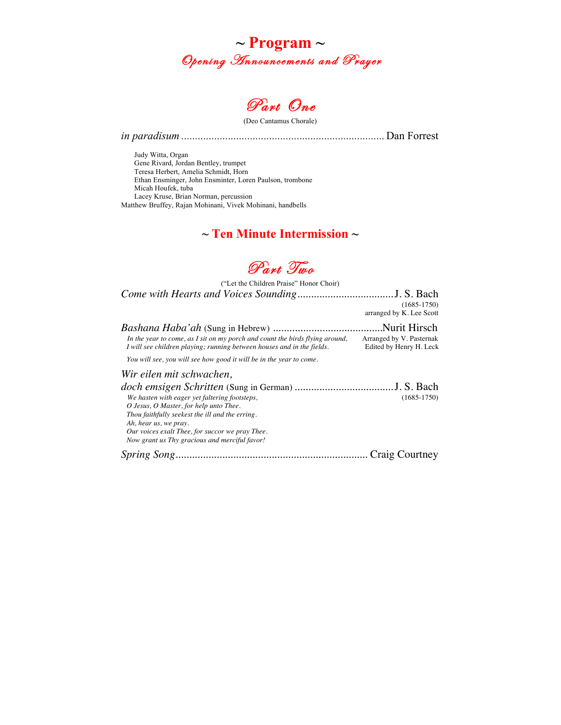



(Deo Cantamus Chorale)

*in paradisum ..........................................................................*Dan Forrest

Judy Witta, Organ Gene Rivard, Jordan Bentley, trumpet Teresa Herbert, Amelia Schmidt, Horn Ethan Ensminger, John Ensminter, Loren Paulson, trombone Micah Houfek, tuba Lacey Kruse, Brian Norman, percussion Matthew Bruffey, Rajan Mohinani, Vivek Mohinani, handbells

## **~ Ten Minute Intermission ~**



("Let the Children Praise" Honor Choir) *Come with Hearts and Voices Sounding*...................................J. S. Bach

|                                                                                                                                                                                                                                                                         | $(1685 - 1750)$<br>arranged by K. Lee Scott         |
|-------------------------------------------------------------------------------------------------------------------------------------------------------------------------------------------------------------------------------------------------------------------------|-----------------------------------------------------|
|                                                                                                                                                                                                                                                                         |                                                     |
| In the year to come, as I sit on my porch and count the birds flying around,<br>I will see children playing; running between houses and in the fields.                                                                                                                  | Arranged by V. Pasternak<br>Edited by Henry H. Leck |
| You will see, you will see how good it will be in the year to come.                                                                                                                                                                                                     |                                                     |
| Wir eilen mit schwachen,                                                                                                                                                                                                                                                |                                                     |
| We hasten with eager yet faltering footsteps,<br>O Jesus, O Master, for help unto Thee.<br>Thou faithfully seekest the ill and the erring.<br>Ah, hear us, we pray.<br>Our voices exalt Thee, for succor we pray Thee.<br>Now grant us Thy gracious and merciful favor! | $(1685-1750)$                                       |

*Spring Song......................................................................* Craig Courtney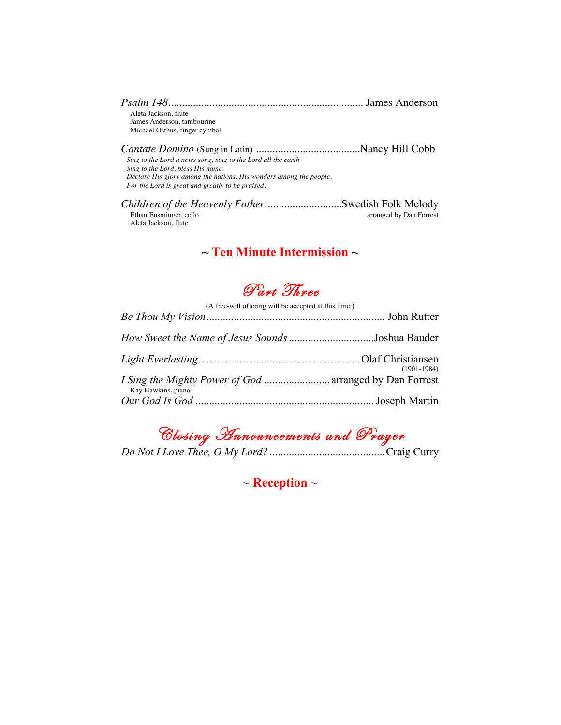| Aleta Jackson, flute          |  |
|-------------------------------|--|
| James Anderson, tambourine    |  |
| Michael Osthus, finger cymbal |  |

*Cantate Domino* (Sung in Latin) *......................................*Nancy Hill Cobb *Sing to the Lord a news song, sing to the Lord all the earth Sing to the Lord, bless His name. Declare His glory among the nations, His wonders among the people. For the Lord is great and greatly to be praised.*

*Children of the Heavenly Father ..........................*...Swedish Folk Melody<br>Ethan Ensminger, cello arranged by Dan Forrest Aleta Jackson, flute

### **~ Ten Minute Intermission ~**

# Part Three

| (A free-will offering will be accepted at this time.)                                |               |
|--------------------------------------------------------------------------------------|---------------|
|                                                                                      |               |
|                                                                                      |               |
|                                                                                      | $(1901-1984)$ |
| <i>I Sing the Mighty Power of God </i> arranged by Dan Forrest<br>Kay Hawkins, piano |               |
|                                                                                      |               |

Closing Announcements and Prayer

*Do Not I Love Thee, O My Lord?* ..........................................Craig Curry

~ **Reception** ~